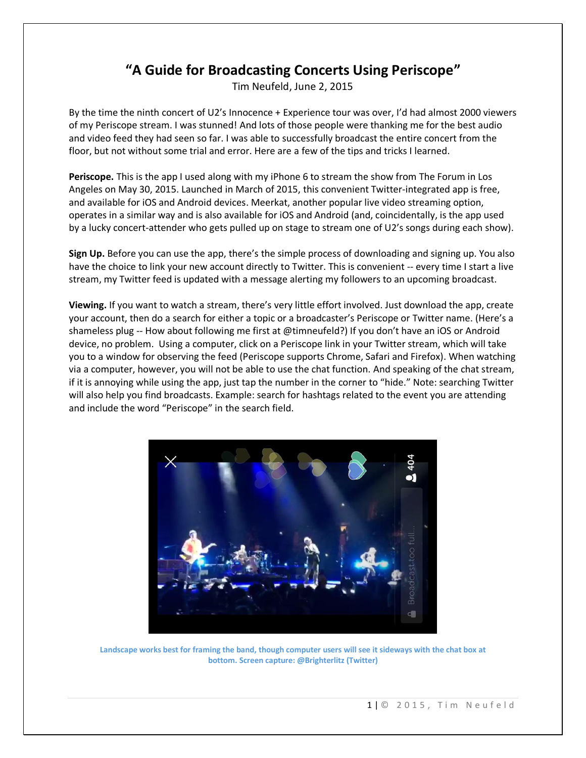## **"A Guide for Broadcasting Concerts Using Periscope"**

Tim Neufeld, June 2, 2015

By the time the ninth concert of U2's Innocence + Experience tour was over, I'd had almost 2000 viewers of my Periscope stream. I was stunned! And lots of those people were thanking me for the best audio and video feed they had seen so far. I was able to successfully broadcast the entire concert from the floor, but not without some trial and error. Here are a few of the tips and tricks I learned.

**Periscope.** This is the app I used along with my iPhone 6 to stream the show from The Forum in Los Angeles on May 30, 2015. Launched in March of 2015, this convenient Twitter-integrated app is free, and available for iOS and Android devices. Meerkat, another popular live video streaming option, operates in a similar way and is also available for iOS and Android (and, coincidentally, is the app used by a lucky concert-attender who gets pulled up on stage to stream one of U2's songs during each show).

**Sign Up.** Before you can use the app, there's the simple process of downloading and signing up. You also have the choice to link your new account directly to Twitter. This is convenient -- every time I start a live stream, my Twitter feed is updated with a message alerting my followers to an upcoming broadcast.

**Viewing.** If you want to watch a stream, there's very little effort involved. Just download the app, create your account, then do a search for either a topic or a broadcaster's Periscope or Twitter name. (Here's a shameless plug -- How about following me first at @timneufeld?) If you don't have an iOS or Android device, no problem. Using a computer, click on a Periscope link in your Twitter stream, which will take you to a window for observing the feed (Periscope supports Chrome, Safari and Firefox). When watching via a computer, however, you will not be able to use the chat function. And speaking of the chat stream, if it is annoying while using the app, just tap the number in the corner to "hide." Note: searching Twitter will also help you find broadcasts. Example: search for hashtags related to the event you are attending and include the word "Periscope" in the search field.



**Landscape works best for framing the band, though computer users will see it sideways with the chat box at bottom. Screen capture: @Brighterlitz (Twitter)**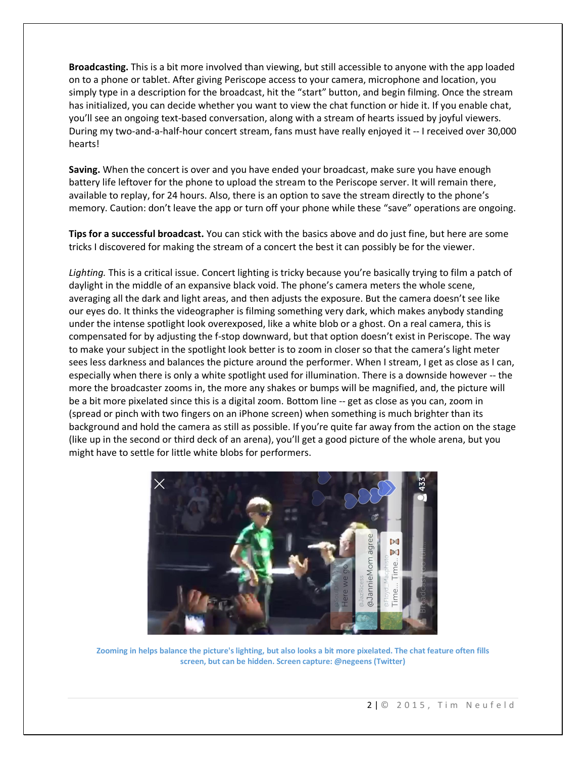**Broadcasting.** This is a bit more involved than viewing, but still accessible to anyone with the app loaded on to a phone or tablet. After giving Periscope access to your camera, microphone and location, you simply type in a description for the broadcast, hit the "start" button, and begin filming. Once the stream has initialized, you can decide whether you want to view the chat function or hide it. If you enable chat, you'll see an ongoing text-based conversation, along with a stream of hearts issued by joyful viewers. During my two-and-a-half-hour concert stream, fans must have really enjoyed it -- I received over 30,000 hearts!

**Saving.** When the concert is over and you have ended your broadcast, make sure you have enough battery life leftover for the phone to upload the stream to the Periscope server. It will remain there, available to replay, for 24 hours. Also, there is an option to save the stream directly to the phone's memory. Caution: don't leave the app or turn off your phone while these "save" operations are ongoing.

**Tips for a successful broadcast.** You can stick with the basics above and do just fine, but here are some tricks I discovered for making the stream of a concert the best it can possibly be for the viewer.

*Lighting.* This is a critical issue. Concert lighting is tricky because you're basically trying to film a patch of daylight in the middle of an expansive black void. The phone's camera meters the whole scene, averaging all the dark and light areas, and then adjusts the exposure. But the camera doesn't see like our eyes do. It thinks the videographer is filming something very dark, which makes anybody standing under the intense spotlight look overexposed, like a white blob or a ghost. On a real camera, this is compensated for by adjusting the f-stop downward, but that option doesn't exist in Periscope. The way to make your subject in the spotlight look better is to zoom in closer so that the camera's light meter sees less darkness and balances the picture around the performer. When I stream, I get as close as I can, especially when there is only a white spotlight used for illumination. There is a downside however -- the more the broadcaster zooms in, the more any shakes or bumps will be magnified, and, the picture will be a bit more pixelated since this is a digital zoom. Bottom line -- get as close as you can, zoom in (spread or pinch with two fingers on an iPhone screen) when something is much brighter than its background and hold the camera as still as possible. If you're quite far away from the action on the stage (like up in the second or third deck of an arena), you'll get a good picture of the whole arena, but you might have to settle for little white blobs for performers.



**Zooming in helps balance the picture's lighting, but also looks a bit more pixelated. The chat feature often fills screen, but can be hidden. Screen capture: @negeens (Twitter)**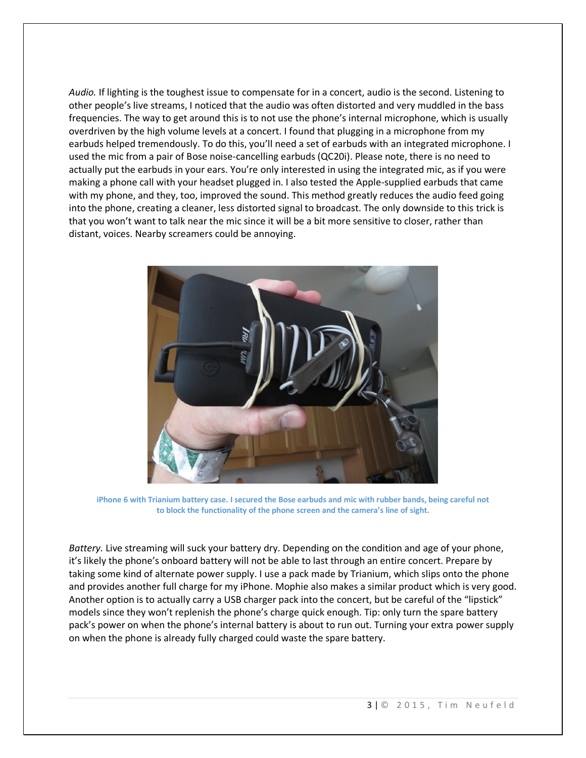*Audio.* If lighting is the toughest issue to compensate for in a concert, audio is the second. Listening to other people's live streams, I noticed that the audio was often distorted and very muddled in the bass frequencies. The way to get around this is to not use the phone's internal microphone, which is usually overdriven by the high volume levels at a concert. I found that plugging in a microphone from my earbuds helped tremendously. To do this, you'll need a set of earbuds with an integrated microphone. I used the mic from a pair of Bose noise-cancelling earbuds (QC20i). Please note, there is no need to actually put the earbuds in your ears. You're only interested in using the integrated mic, as if you were making a phone call with your headset plugged in. I also tested the Apple-supplied earbuds that came with my phone, and they, too, improved the sound. This method greatly reduces the audio feed going into the phone, creating a cleaner, less distorted signal to broadcast. The only downside to this trick is that you won't want to talk near the mic since it will be a bit more sensitive to closer, rather than distant, voices. Nearby screamers could be annoying.



**iPhone 6 with Trianium battery case. I secured the Bose earbuds and mic with rubber bands, being careful not to block the functionality of the phone screen and the camera's line of sight.**

*Battery.* Live streaming will suck your battery dry. Depending on the condition and age of your phone, it's likely the phone's onboard battery will not be able to last through an entire concert. Prepare by taking some kind of alternate power supply. I use a pack made by Trianium, which slips onto the phone and provides another full charge for my iPhone. Mophie also makes a similar product which is very good. Another option is to actually carry a USB charger pack into the concert, but be careful of the "lipstick" models since they won't replenish the phone's charge quick enough. Tip: only turn the spare battery pack's power on when the phone's internal battery is about to run out. Turning your extra power supply on when the phone is already fully charged could waste the spare battery.